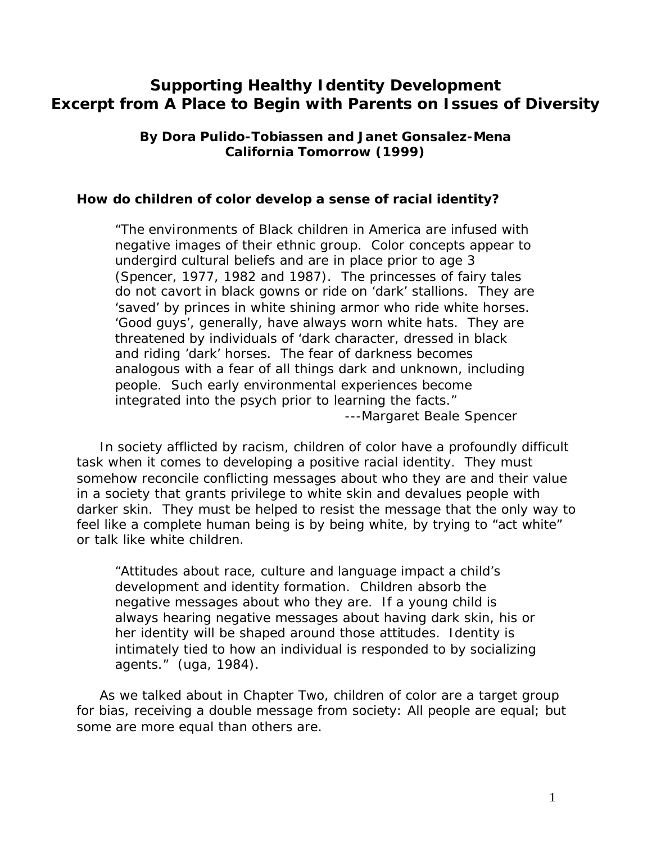# **Supporting Healthy Identity Development Excerpt from A Place to Begin with Parents on Issues of Diversity**

**By Dora Pulido-Tobiassen and Janet Gonsalez-Mena California Tomorrow (1999)**

#### *How do children of color develop a sense of racial identity?*

*"The environments of Black children in America are infused with negative images of their ethnic group. Color concepts appear to undergird cultural beliefs and are in place prior to age 3 (Spencer, 1977, 1982 and 1987). The princesses of fairy tales do not cavort in black gowns or ride on 'dark' stallions. They are 'saved' by princes in white shining armor who ride white horses. 'Good guys', generally, have always worn white hats. They are threatened by individuals of 'dark character, dressed in black and riding 'dark' horses. The fear of darkness becomes analogous with a fear of all things dark and unknown, including people. Such early environmental experiences become integrated into the psych prior to learning the facts." ---Margaret Beale Spencer*

 In society afflicted by racism, children of color have a profoundly difficult task when it comes to developing a positive racial identity. They must somehow reconcile conflicting messages about who they are and their value in a society that grants privilege to white skin and devalues people with darker skin. They must be helped to resist the message that the only way to feel like a complete human being is by being white, by trying to "act white" or talk like white children.

*"Attitudes about race, culture and language impact a child's development and identity formation. Children absorb the negative messages about who they are. If a young child is always hearing negative messages about having dark skin, his or her identity will be shaped around those attitudes. Identity is intimately tied to how an individual is responded to by socializing agents." (uga, 1984).*

 As we talked about in Chapter Two, children of color are a target group for bias, receiving a double message from society: All people are equal; but some are more equal than others are.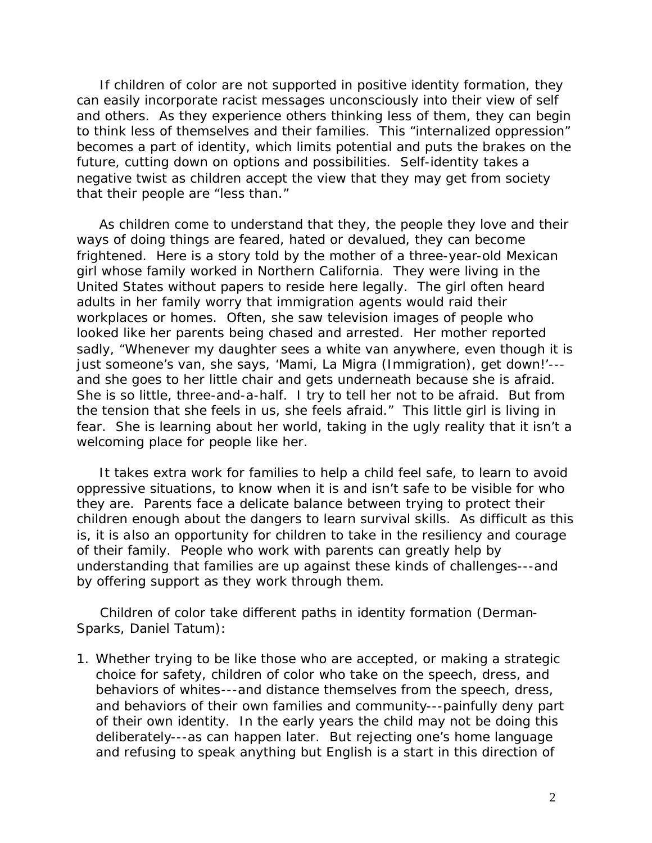If children of color are not supported in positive identity formation, they can easily incorporate racist messages unconsciously into their view of self and others. As they experience others thinking less of them, they can begin to think less of themselves and their families. This "internalized oppression" becomes a part of identity, which limits potential and puts the brakes on the future, cutting down on options and possibilities. Self-identity takes a negative twist as children accept the view that they may get from society that their people are "less than."

 As children come to understand that they, the people they love and their ways of doing things are feared, hated or devalued, they can become frightened. Here is a story told by the mother of a three-year-old Mexican girl whose family worked in Northern California. They were living in the United States without papers to reside here legally. The girl often heard adults in her family worry that immigration agents would raid their workplaces or homes. Often, she saw television images of people who looked like her parents being chased and arrested. Her mother reported sadly, "Whenever my daughter sees a white van anywhere, even though it is just someone's van, she says, *'Mami, La Migra* (Immigration), get down!'-- and she goes to her little chair and gets underneath because she is afraid. She is so little, three-and-a-half. I try to tell her not to be afraid. But from the tension that she feels in us, she feels afraid." This little girl is living in fear. She is learning about her world, taking in the ugly reality that it isn't a welcoming place for people like her.

 It takes extra work for families to help a child feel safe, to learn to avoid oppressive situations, to know when it is and isn't safe to be visible for who they are. Parents face a delicate balance between trying to protect their children enough about the dangers to learn survival skills. As difficult as this is, it is also an opportunity for children to take in the resiliency and courage of their family. People who work with parents can greatly help by understanding that families are up against these kinds of challenges---and by offering support as they work through them.

 Children of color take different paths in identity formation (Derman-Sparks, Daniel Tatum):

1. Whether trying to be like those who are accepted, or making a strategic choice for safety, children of color who take on the speech, dress, and behaviors of whites---and distance themselves from the speech, dress, and behaviors of their own families and community---painfully deny part of their own identity. In the early years the child may not be doing this deliberately---as can happen later. But rejecting one's home language and refusing to speak anything but English is a start in this direction of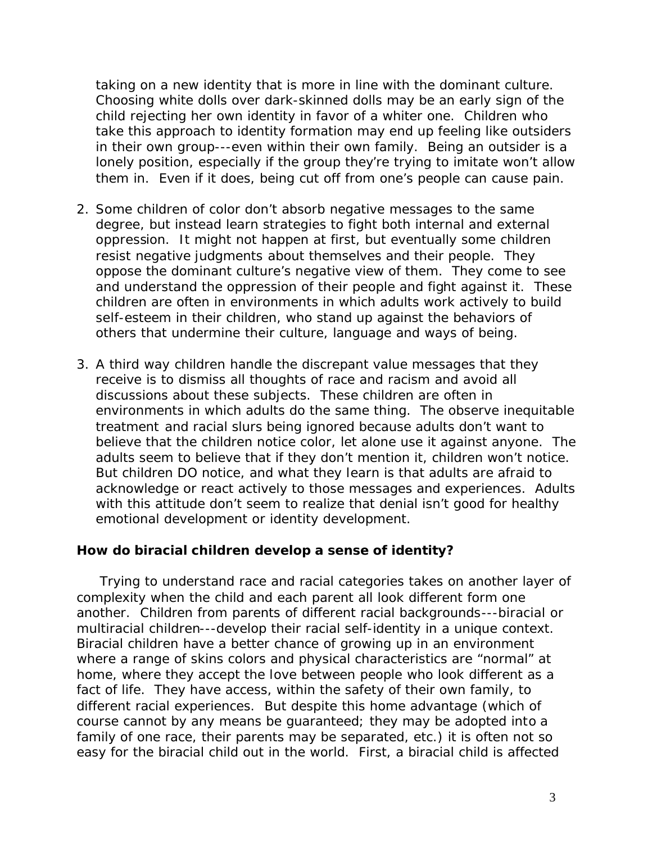taking on a new identity that is more in line with the dominant culture. Choosing white dolls over dark-skinned dolls may be an early sign of the child rejecting her own identity in favor of a whiter one. Children who take this approach to identity formation may end up feeling like outsiders in their own group---even within their own family. Being an outsider is a lonely position, especially if the group they're trying to imitate won't allow them in. Even if it does, being cut off from one's people can cause pain.

- 2. Some children of color don't absorb negative messages to the same degree, but instead learn strategies to fight both internal and external oppression. It might not happen at first, but eventually some children resist negative judgments about themselves and their people. They oppose the dominant culture's negative view of them. They come to see and understand the oppression of their people and fight against it. These children are often in environments in which adults work actively to build self-esteem in their children, who stand up against the behaviors of others that undermine their culture, language and ways of being.
- 3. A third way children handle the discrepant value messages that they receive is to dismiss all thoughts of race and racism and avoid all discussions about these subjects. These children are often in environments in which adults do the same thing. The observe inequitable treatment and racial slurs being ignored because adults don't want to believe that the children notice color, let alone use it against anyone. The adults seem to believe that if they don't mention it, children won't notice. But children DO notice, and what they learn is that adults are afraid to acknowledge or react actively to those messages and experiences. Adults with this attitude don't seem to realize that denial isn't good for healthy emotional development or identity development.

#### *How do biracial children develop a sense of identity?*

 Trying to understand race and racial categories takes on another layer of complexity when the child and each parent all look different form one another. Children from parents of different racial backgrounds---biracial or multiracial children---develop their racial self-identity in a unique context. Biracial children have a better chance of growing up in an environment where a range of skins colors and physical characteristics are "normal" at home, where they accept the love between people who look different as a fact of life. They have access, within the safety of their own family, to different racial experiences. But despite this home advantage (which of course cannot by any means be guaranteed; they may be adopted into a family of one race, their parents may be separated, etc.) it is often not so easy for the biracial child out in the world. First, a biracial child is affected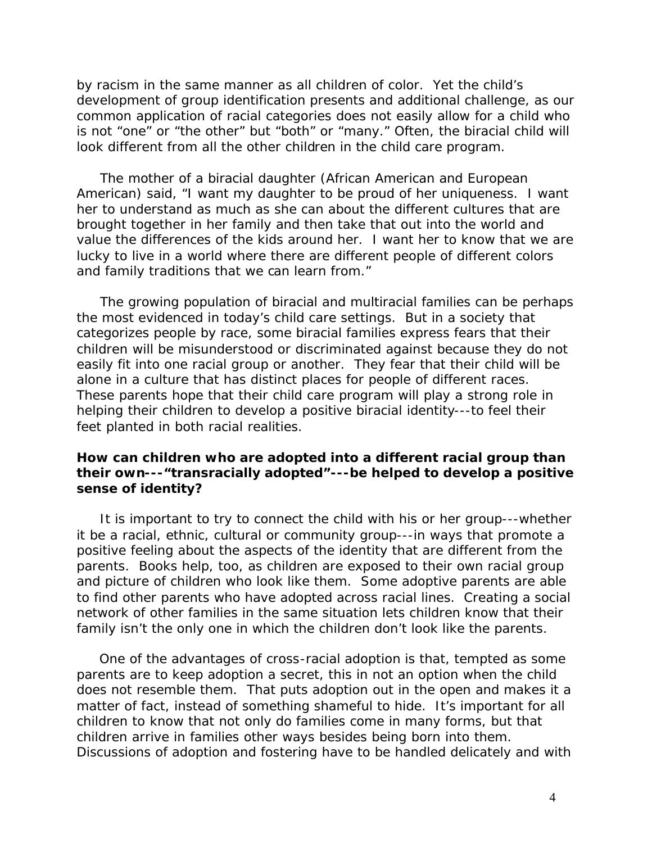by racism in the same manner as all children of color. Yet the child's development of group identification presents and additional challenge, as our common application of racial categories does not easily allow for a child who is not "one" or "the other" but "both" or "many." Often, the biracial child will look different from all the other children in the child care program.

 The mother of a biracial daughter (African American and European American) said, "I want my daughter to be proud of her uniqueness. I want her to understand as much as she can about the different cultures that are brought together in her family and then take that out into the world and value the differences of the kids around her. I want her to know that we are lucky to live in a world where there are different people of different colors and family traditions that we can learn from."

 The growing population of biracial and multiracial families can be perhaps the most evidenced in today's child care settings. But in a society that categorizes people by race, some biracial families express fears that their children will be misunderstood or discriminated against because they do not easily fit into one racial group or another. They fear that their child will be alone in a culture that has distinct places for people of different races. These parents hope that their child care program will play a strong role in helping their children to develop a positive biracial identity---to feel their feet planted in both racial realities.

## *How can children who are adopted into a different racial group than their own---"transracially adopted"---be helped to develop a positive sense of identity?*

 It is important to try to connect the child with his or her group---whether it be a racial, ethnic, cultural or community group---in ways that promote a positive feeling about the aspects of the identity that are different from the parents. Books help, too, as children are exposed to their own racial group and picture of children who look like them. Some adoptive parents are able to find other parents who have adopted across racial lines. Creating a social network of other families in the same situation lets children know that their family isn't the only one in which the children don't look like the parents.

 One of the advantages of cross-racial adoption is that, tempted as some parents are to keep adoption a secret, this in not an option when the child does not resemble them. That puts adoption out in the open and makes it a matter of fact, instead of something shameful to hide. It's important for all children to know that not only do families come in many forms, but that children arrive in families other ways besides being born into them. Discussions of adoption and fostering have to be handled delicately and with